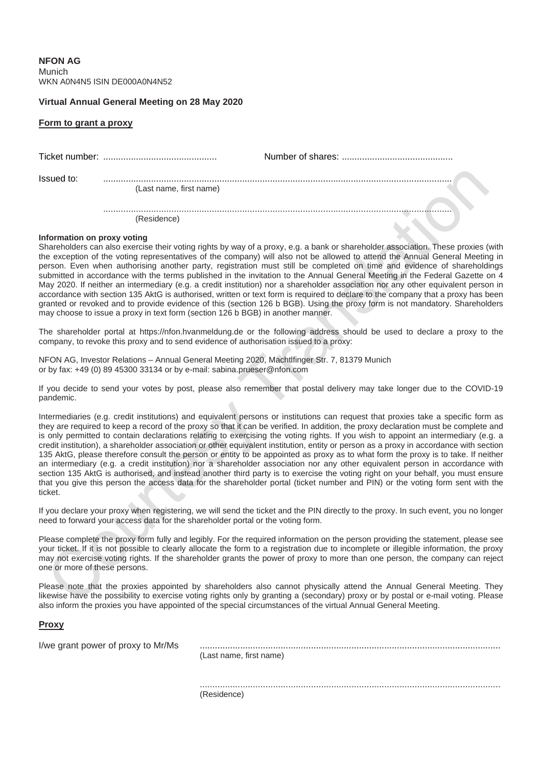**NFON AG** Munich WKN A0N4N5 ISIN DE000A0N4N52

## **Virtual Annual General Meeting on 28 May 2020**

## **Form to grant a proxy**

| Issued to: | (Last name, first name) |  |
|------------|-------------------------|--|
|            | (Residence)             |  |

## **Information on proxy voting**

Shareholders can also exercise their voting rights by way of a proxy, e.g. a bank or shareholder association. These proxies (with the exception of the voting representatives of the company) will also not be allowed to attend the Annual General Meeting in person. Even when authorising another party, registration must still be completed on time and evidence of shareholdings submitted in accordance with the terms published in the invitation to the Annual General Meeting in the Federal Gazette on 4 May 2020. If neither an intermediary (e.g. a credit institution) nor a shareholder association nor any other equivalent person in accordance with section 135 AktG is authorised, written or text form is required to declare to the company that a proxy has been granted or revoked and to provide evidence of this (section 126 b BGB). Using the proxy form is not mandatory. Shareholders may choose to issue a proxy in text form (section 126 b BGB) in another manner.

The shareholder portal at https://nfon.hvanmeldung.de or the following address should be used to declare a proxy to the company, to revoke this proxy and to send evidence of authorisation issued to a proxy:

NFON AG, Investor Relations – Annual General Meeting 2020, Machtlfinger Str. 7, 81379 Munich or by fax: +49 (0) 89 45300 33134 or by e-mail: sabina.prueser@nfon.com

If you decide to send your votes by post, please also remember that postal delivery may take longer due to the COVID-19 pandemic.

Intermediaries (e.g. credit institutions) and equivalent persons or institutions can request that proxies take a specific form as they are required to keep a record of the proxy so that it can be verified. In addition, the proxy declaration must be complete and is only permitted to contain declarations relating to exercising the voting rights. If you wish to appoint an intermediary (e.g. a credit institution), a shareholder association or other equivalent institution, entity or person as a proxy in accordance with section 135 AktG, please therefore consult the person or entity to be appointed as proxy as to what form the proxy is to take. If neither an intermediary (e.g. a credit institution) nor a shareholder association nor any other equivalent person in accordance with section 135 AktG is authorised, and instead another third party is to exercise the voting right on your behalf, you must ensure that you give this person the access data for the shareholder portal (ticket number and PIN) or the voting form sent with the ticket.

If you declare your proxy when registering, we will send the ticket and the PIN directly to the proxy. In such event, you no longer need to forward your access data for the shareholder portal or the voting form.

Please complete the proxy form fully and legibly. For the required information on the person providing the statement, please see your ticket. If it is not possible to clearly allocate the form to a registration due to incomplete or illegible information, the proxy may not exercise voting rights. If the shareholder grants the power of proxy to more than one person, the company can reject one or more of these persons.

Please note that the proxies appointed by shareholders also cannot physically attend the Annual General Meeting. They likewise have the possibility to exercise voting rights only by granting a (secondary) proxy or by postal or e-mail voting. Please also inform the proxies you have appointed of the special circumstances of the virtual Annual General Meeting.

## **Proxy**

| I/we grant power of proxy to Mr/Ms | (Last name, first name) |
|------------------------------------|-------------------------|
|                                    |                         |

(Residence)